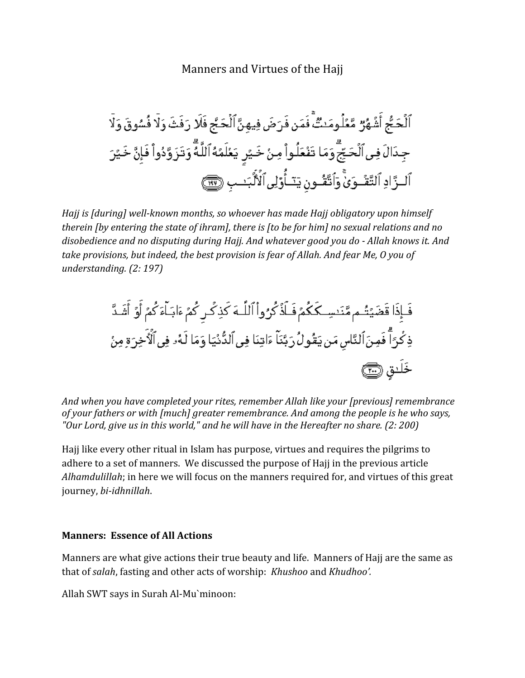# Manners and Virtues of the Hajj

*Hajj is [during] well-known months, so whoever has made Hajj obligatory upon himself therein [by entering the state of ihram], there is [to be for him] no sexual relations and no disobedience and no disputing during Hajj. And whatever good you do - Allah knows it. And take provisions, but indeed, the best provision is fear of Allah. And fear Me, O you of understanding. (2: 197)*

*And when you have completed your rites, remember Allah like your [previous] remembrance of your fathers or with [much] greater remembrance. And among the people is he who says, "Our Lord, give us in this world," and he will have in the Hereafter no share. (2: 200)*

Hajj like every other ritual in Islam has purpose, virtues and requires the pilgrims to adhere to a set of manners. We discussed the purpose of Hajj in the previous article *Alhamdulillah*; in here we will focus on the manners required for, and virtues of this great journey, *bi-idhnillah*.

#### **Manners: Essence of All Actions**

Manners are what give actions their true beauty and life. Manners of Hajj are the same as that of *salah*, fasting and other acts of worship: *Khushoo* and *Khudhoo'.* 

Allah SWT says in Surah Al-Mu`minoon: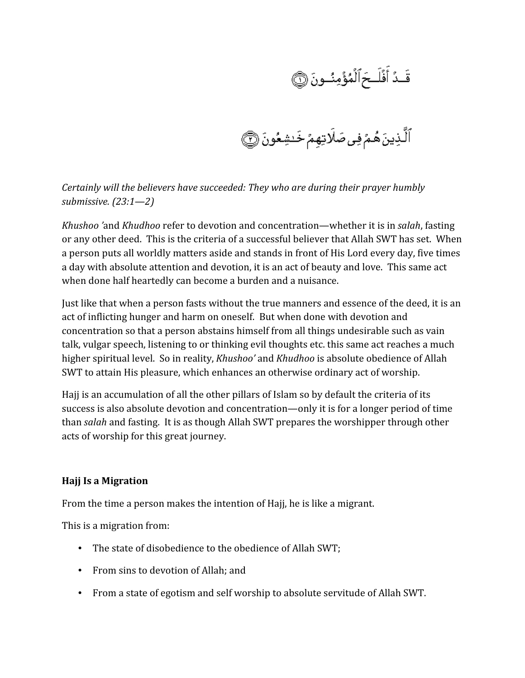قَـدُ أَفۡلَـحَ ٱلۡمُؤۡمِنُــونَ ۞<br>ٱلَّـٰذِينَ هُـمۡ فِى صَلَاتِهِمۡ خَـٰشِعُونَ ۞

*Certainly will the believers have succeeded: They who are during their prayer humbly submissive. (23:1—2)*

*Khushoo '*and *Khudhoo* refer to devotion and concentration—whether it is in *salah*, fasting or any other deed. This is the criteria of a successful believer that Allah SWT has set. When a person puts all worldly matters aside and stands in front of His Lord every day, five times a day with absolute attention and devotion, it is an act of beauty and love. This same act when done half heartedly can become a burden and a nuisance.

Just like that when a person fasts without the true manners and essence of the deed, it is an act of inflicting hunger and harm on oneself. But when done with devotion and concentration so that a person abstains himself from all things undesirable such as vain talk, vulgar speech, listening to or thinking evil thoughts etc. this same act reaches a much higher spiritual level. So in reality, *Khushoo'* and *Khudhoo* is absolute obedience of Allah SWT to attain His pleasure, which enhances an otherwise ordinary act of worship.

Hajj is an accumulation of all the other pillars of Islam so by default the criteria of its success is also absolute devotion and concentration—only it is for a longer period of time than *salah* and fasting. It is as though Allah SWT prepares the worshipper through other acts of worship for this great journey.

#### **Hajj Is a Migration**

From the time a person makes the intention of Hajj, he is like a migrant.

This is a migration from:

- The state of disobedience to the obedience of Allah SWT;
- From sins to devotion of Allah; and
- From a state of egotism and self worship to absolute servitude of Allah SWT.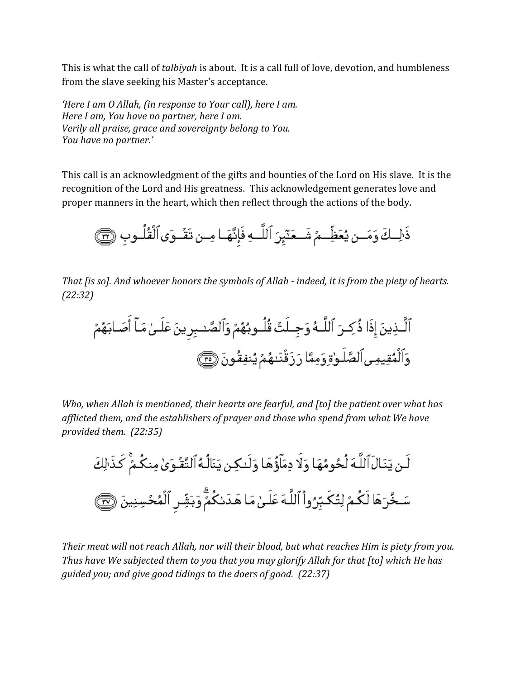This is what the call of *talbiyah* is about. It is a call full of love, devotion, and humbleness from the slave seeking his Master's acceptance.

*'Here I am O Allah, (in response to Your call), here I am. Here I am, You have no partner, here I am. Verily all praise, grace and sovereignty belong to You. You have no partner.'*

This call is an acknowledgment of the gifts and bounties of the Lord on His slave. It is the recognition of the Lord and His greatness. This acknowledgement generates love and proper manners in the heart, which then reflect through the actions of the body.



*That [is so]. And whoever honors the symbols of Allah - indeed, it is from the piety of hearts. (22:32)*

*Who, when Allah is mentioned, their hearts are fearful, and [to] the patient over what has afflicted them, and the establishers of prayer and those who spend from what We have provided them. (22:35)*

لَـن يَنَـالَ ٱللَّـهَ لُحُومُهَا وَلَا دِمَآؤُهَا وَلَـٰكِـن يَنَالُـهُ ٱلتَّقُـوَىٰ مِنكُـمٌّ كَذَالِكَ سَخَّرَهَا لَكُمُ لِتُكَبِّرُواْ ٱللَّهَ عَلَىٰ مَا هَدَىٰكُمٌّ وَبَشِّرِ ٱلْمُحُسِنِينَ ۞

*Their meat will not reach Allah, nor will their blood, but what reaches Him is piety from you. Thus have We subjected them to you that you may glorify Allah for that [to] which He has guided you; and give good tidings to the doers of good. (22:37)*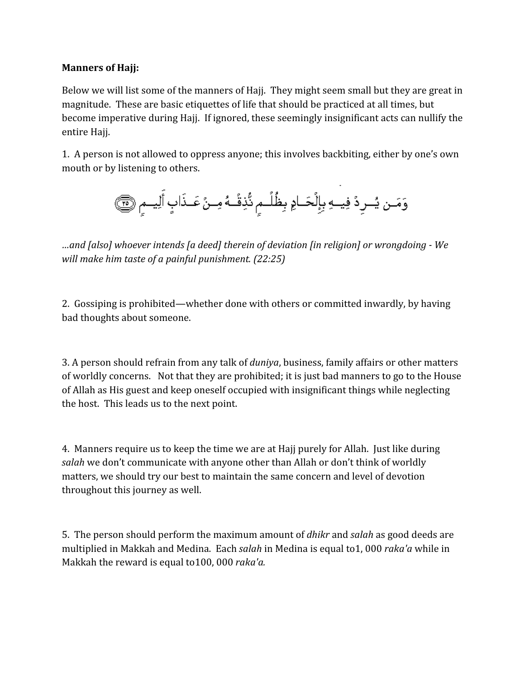### **Manners of Hajj:**

Below we will list some of the manners of Hajj. They might seem small but they are great in magnitude. These are basic etiquettes of life that should be practiced at all times, but become imperative during Hajj. If ignored, these seemingly insignificant acts can nullify the entire Hajj.

1. A person is not allowed to oppress anyone; this involves backbiting, either by one's own mouth or by listening to others.

*…and [also] whoever intends [a deed] therein of deviation [in religion] or wrongdoing - We will make him taste of a painful punishment. (22:25)*

2. Gossiping is prohibited—whether done with others or committed inwardly, by having bad thoughts about someone.

3. A person should refrain from any talk of *duniya*, business, family affairs or other matters of worldly concerns. Not that they are prohibited; it is just bad manners to go to the House of Allah as His guest and keep oneself occupied with insignificant things while neglecting the host. This leads us to the next point.

4. Manners require us to keep the time we are at Hajj purely for Allah. Just like during *salah* we don't communicate with anyone other than Allah or don't think of worldly matters, we should try our best to maintain the same concern and level of devotion throughout this journey as well.

5. The person should perform the maximum amount of *dhikr* and *salah* as good deeds are multiplied in Makkah and Medina. Each *salah* in Medina is equal to1, 000 *raka'a* while in Makkah the reward is equal to100, 000 *raka'a.*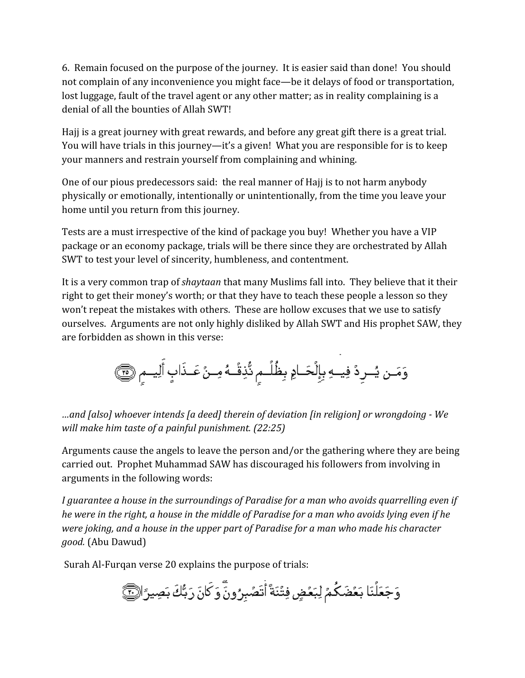6. Remain focused on the purpose of the journey. It is easier said than done! You should not complain of any inconvenience you might face—be it delays of food or transportation, lost luggage, fault of the travel agent or any other matter; as in reality complaining is a denial of all the bounties of Allah SWT!

Hajj is a great journey with great rewards, and before any great gift there is a great trial. You will have trials in this journey—it's a given! What you are responsible for is to keep your manners and restrain yourself from complaining and whining.

One of our pious predecessors said: the real manner of Hajj is to not harm anybody physically or emotionally, intentionally or unintentionally, from the time you leave your home until you return from this journey.

Tests are a must irrespective of the kind of package you buy! Whether you have a VIP package or an economy package, trials will be there since they are orchestrated by Allah SWT to test your level of sincerity, humbleness, and contentment.

It is a very common trap of *shaytaan* that many Muslims fall into. They believe that it their right to get their money's worth; or that they have to teach these people a lesson so they won't repeat the mistakes with others. These are hollow excuses that we use to satisfy ourselves. Arguments are not only highly disliked by Allah SWT and His prophet SAW, they are forbidden as shown in this verse:

*…and [also] whoever intends [a deed] therein of deviation [in religion] or wrongdoing - We will make him taste of a painful punishment. (22:25)*

Arguments cause the angels to leave the person and/or the gathering where they are being carried out. Prophet Muhammad SAW has discouraged his followers from involving in arguments in the following words:

*I guarantee a house in the surroundings of Paradise for a man who avoids quarrelling even if he were in the right, a house in the middle of Paradise for a man who avoids lying even if he were joking, and a house in the upper part of Paradise for a man who made his character good.* (Abu Dawud)

Surah Al-Furqan verse 20 explains the purpose of trials:

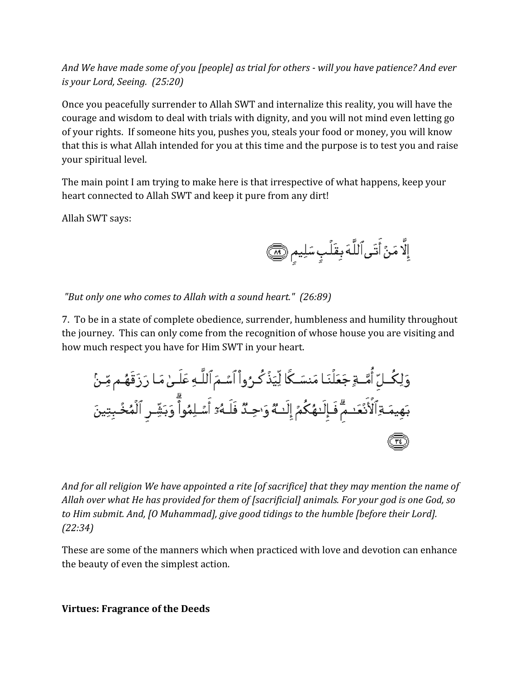*And We have made some of you [people] as trial for others - will you have patience? And ever is your Lord, Seeing. (25:20)*

Once you peacefully surrender to Allah SWT and internalize this reality, you will have the courage and wisdom to deal with trials with dignity, and you will not mind even letting go of your rights. If someone hits you, pushes you, steals your food or money, you will know that this is what Allah intended for you at this time and the purpose is to test you and raise your spiritual level.

The main point I am trying to make here is that irrespective of what happens, keep your heart connected to Allah SWT and keep it pure from any dirt!

Allah SWT says:

إِلَّا مَنْ أَتَى ٱللَّهَ بِقَلَٰبٍ سَلِيمٍ ۞

 *"But only one who comes to Allah with a sound heart." (26:89)*

7. To be in a state of complete obedience, surrender, humbleness and humility throughout the journey. This can only come from the recognition of whose house you are visiting and how much respect you have for Him SWT in your heart.

*And for all religion We have appointed a rite [of sacrifice] that they may mention the name of Allah over what He has provided for them of [sacrificial] animals. For your god is one God, so to Him submit. And, [O Muhammad], give good tidings to the humble [before their Lord]. (22:34)*

These are some of the manners which when practiced with love and devotion can enhance the beauty of even the simplest action.

**Virtues: Fragrance of the Deeds**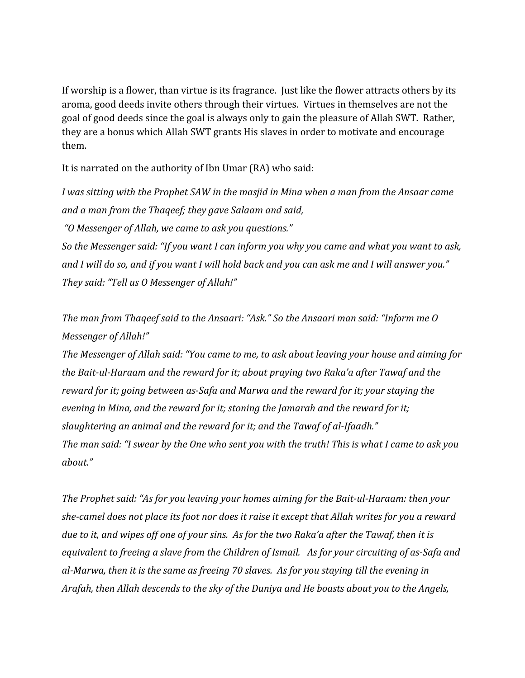If worship is a flower, than virtue is its fragrance. Just like the flower attracts others by its aroma, good deeds invite others through their virtues. Virtues in themselves are not the goal of good deeds since the goal is always only to gain the pleasure of Allah SWT. Rather, they are a bonus which Allah SWT grants His slaves in order to motivate and encourage them.

It is narrated on the authority of Ibn Umar (RA) who said:

*I was sitting with the Prophet SAW in the masjid in Mina when a man from the Ansaar came and a man from the Thaqeef; they gave Salaam and said,*

 *"O Messenger of Allah, we came to ask you questions."*

*So the Messenger said: "If you want I can inform you why you came and what you want to ask, and I will do so, and if you want I will hold back and you can ask me and I will answer you." They said: "Tell us O Messenger of Allah!"*

*The man from Thaqeef said to the Ansaari: "Ask." So the Ansaari man said: "Inform me O Messenger of Allah!"*

*The Messenger of Allah said: "You came to me, to ask about leaving your house and aiming for the Bait-ul-Haraam and the reward for it; about praying two Raka'a after Tawaf and the reward for it; going between as-Safa and Marwa and the reward for it; your staying the evening in Mina, and the reward for it; stoning the Jamarah and the reward for it; slaughtering an animal and the reward for it; and the Tawaf of al-Ifaadh." The man said: "I swear by the One who sent you with the truth! This is what I came to ask you about."*

*The Prophet said: "As for you leaving your homes aiming for the Bait-ul-Haraam: then your she-camel does not place its foot nor does it raise it except that Allah writes for you a reward due to it, and wipes off one of your sins. As for the two Raka'a after the Tawaf, then it is equivalent to freeing a slave from the Children of Ismail. As for your circuiting of as-Safa and al-Marwa, then it is the same as freeing 70 slaves. As for you staying till the evening in Arafah, then Allah descends to the sky of the Duniya and He boasts about you to the Angels,*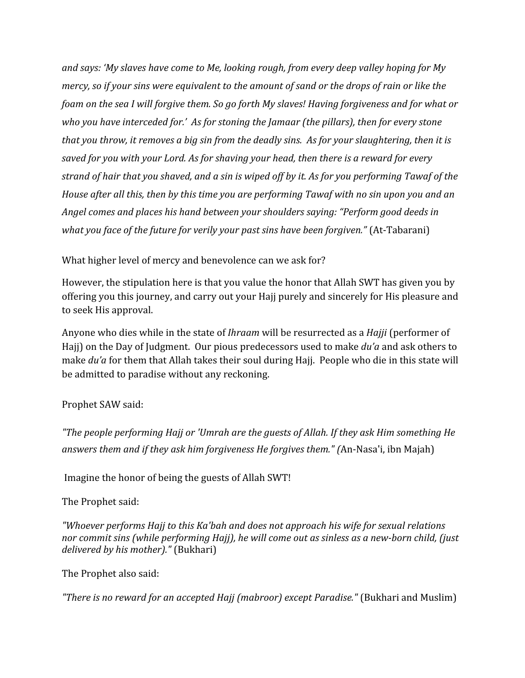*and says: 'My slaves have come to Me, looking rough, from every deep valley hoping for My mercy, so if your sins were equivalent to the amount of sand or the drops of rain or like the foam on the sea I will forgive them. So go forth My slaves! Having forgiveness and for what or who you have interceded for.' As for stoning the Jamaar (the pillars), then for every stone that you throw, it removes a big sin from the deadly sins. As for your slaughtering, then it is saved for you with your Lord. As for shaving your head, then there is a reward for every strand of hair that you shaved, and a sin is wiped off by it. As for you performing Tawaf of the House after all this, then by this time you are performing Tawaf with no sin upon you and an Angel comes and places his hand between your shoulders saying: "Perform good deeds in what you face of the future for verily your past sins have been forgiven."* (At-Tabarani)

What higher level of mercy and benevolence can we ask for?

However, the stipulation here is that you value the honor that Allah SWT has given you by offering you this journey, and carry out your Hajj purely and sincerely for His pleasure and to seek His approval.

Anyone who dies while in the state of *Ihraam* will be resurrected as a *Hajji* (performer of Hajj) on the Day of Judgment. Our pious predecessors used to make *du'a* and ask others to make *du'a* for them that Allah takes their soul during Hajj. People who die in this state will be admitted to paradise without any reckoning.

# Prophet SAW said:

*"The people performing Hajj or 'Umrah are the guests of Allah. If they ask Him something He answers them and if they ask him forgiveness He forgives them." (*An-Nasa'i, ibn Majah)

Imagine the honor of being the guests of Allah SWT!

The Prophet said:

*"Whoever performs Hajj to this Ka'bah and does not approach his wife for sexual relations nor commit sins (while performing Hajj), he will come out as sinless as a new-born child, (just delivered by his mother)."* (Bukhari)

### The Prophet also said:

*"There is no reward for an accepted Hajj (mabroor) except Paradise."* (Bukhari and Muslim)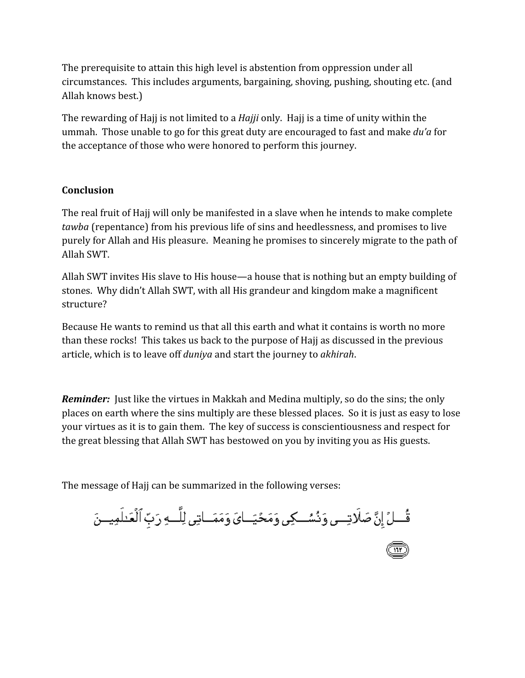The prerequisite to attain this high level is abstention from oppression under all circumstances. This includes arguments, bargaining, shoving, pushing, shouting etc. (and Allah knows best.)

The rewarding of Hajj is not limited to a *Hajji* only. Hajj is a time of unity within the ummah. Those unable to go for this great duty are encouraged to fast and make *du'a* for the acceptance of those who were honored to perform this journey.

### **Conclusion**

The real fruit of Hajj will only be manifested in a slave when he intends to make complete *tawba* (repentance) from his previous life of sins and heedlessness, and promises to live purely for Allah and His pleasure. Meaning he promises to sincerely migrate to the path of Allah SWT.

Allah SWT invites His slave to His house—a house that is nothing but an empty building of stones. Why didn't Allah SWT, with all His grandeur and kingdom make a magnificent structure?

Because He wants to remind us that all this earth and what it contains is worth no more than these rocks! This takes us back to the purpose of Hajj as discussed in the previous article, which is to leave off *duniya* and start the journey to *akhirah*.

*Reminder:* Just like the virtues in Makkah and Medina multiply, so do the sins; the only places on earth where the sins multiply are these blessed places. So it is just as easy to lose your virtues as it is to gain them. The key of success is conscientiousness and respect for the great blessing that Allah SWT has bestowed on you by inviting you as His guests.

The message of Hajj can be summarized in the following verses:

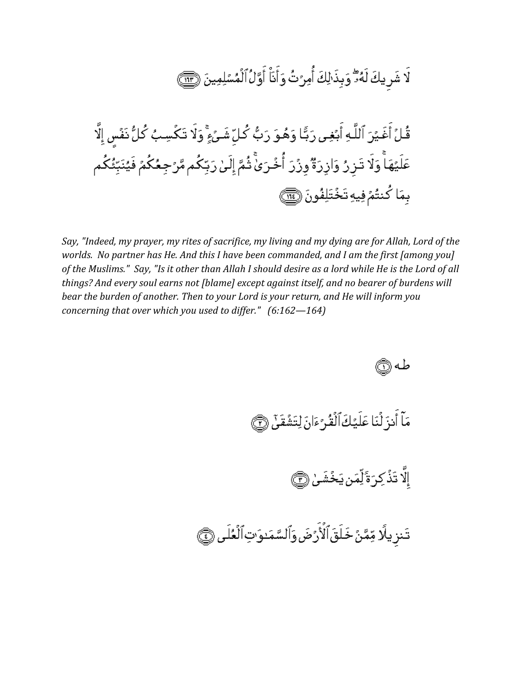لَا شَرِيكَ لَهُ: ۗ وَبِذَالِكَ أُمِرُتُ وَأَنَاْ أَوَّلُ ٱلْمُسۡلِمِينَ ۞ قُلُ أَغَيْرَ ٱللَّهِ أَبُغِى رَبًّا وَهُوَ رَبُّ كُلِّ شَئْءٍۚ وَلَا تَكُسِبُ كُلُّ نَفْسٍ إِلَّا عَلَيْهَآ وَلَا تَـرۡرُ وَارۡرَةٌ وَرُرَ ٱۡخُرَىٰٓ ثُمَّ إِلَىٰٓ رَبِّكُم مَّرۡجِعُكُمۡ فَيُنَبِّئُكُم بِمَا كُنتُمُ فِيهِ تَخْتَلِفُونَ ١

Say, "Indeed, my prayer, my rites of sacrifice, my living and my dying are for Allah, Lord of the worlds. No partner has He. And this I have been commanded, and I am the first famong you] of the Muslims." Say, "Is it other than Allah I should desire as a lord while He is the Lord of all things? And every soul earns not [blame] except against itself, and no bearer of burdens will bear the burden of another. Then to your Lord is your return, and He will inform you concerning that over which you used to differ."  $(6.162 - 164)$ 



مَآ أَنزَ لُنَا عَلَيۡكَ ٱلۡقُرۡ ۚ ءَانَ لِتَشۡقَىٰٓ ۞

إلَّا تَذۡكِرَ ةَٰلِّمَن يَخۡشَىٰۚ (@

تَنزيلًا مِّمَّنُ خَلَقَٱلْأَرَضَ وَٱلسَّمَدوَّتِٱلْعُلَى ۞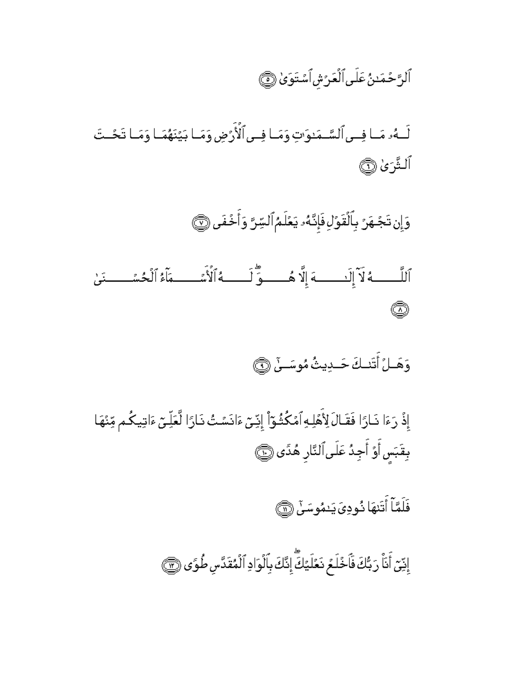ٱلرَّحۡمَدٰنُ عَلَى ٱلۡعَرَشِ ٱسۡتَوَىٰ ۞

لَــهُۥ مَــا فِــى ٱلسَّــمَـٰوَّتِ وَمَــا فِــى ٱلْأَرُضِ وَمَــا بَيَّنَهُمَــا وَمَــا تَحُــتَ ٱلشَّرَىٰ ۞

وَإِن تَجْهَرُ بِٱلْقَوۡلِ فَإِنَّهُۥ يَعۡلَمُٱلسِّرَّ وَأَخۡفَى ۞

ٱللَّـــــــهُ لَا ٓ إِلَـٰـــــــهَ إِلَّا هُــــــوَّ لَـــــــهُ ٱلْأَسَّـــــــمَآءُ ٱلْحُسَّــــــنَىٰ Ô

وَهَــلُ أَتَنــكَ حَــدِيثُ مُوسَــنٌ ۞

إِذْ رَءَا نَـارًا فَقَـالَ لِأَهْلِهِ ٱمْكُثُـوّاْ إِنِّـىّ ءَانَسُتُ نَـارًا لَّعَلِّـىّ ءَاتِيكُـم مِّنْهَا بِقَبَس أَوْ أَجِدُ عَلَى ٱلنَّارِ هُدًى ۞

فَلَمَّاۤ أَتَنهَا ذُودِىَ يَنمُوسَنَّ ۞

إِنِّيّ أَنَاْ رَبُّكَ فَأَخُلَعُ نَعًلَيْكَ إِنَّكَ بِٱلْوَادِ ٱلْمُقَدَّسِ طُوَى ۞